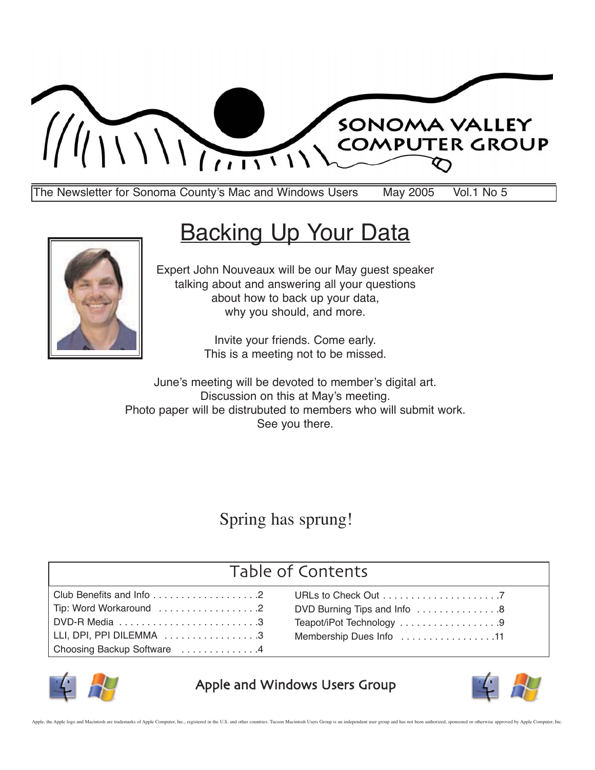

The Newsletter for Sonoma County's Mac and Windows Users May 2005 Vol.1 No 5

# **Backing Up Your Data**



Expert John Nouveaux will be our May guest speaker talking about and answering all your questions about how to back up your data, why you should, and more.

> Invite your friends. Come early. This is a meeting not to be missed.

June's meeting will be devoted to member's digital art. Discussion on this at May's meeting. Photo paper will be distrubuted to members who will submit work. See you there.

### Spring has sprung!

### Table of Contents

| Tip: Word Workaround 2                                                | DVD Burning Tips and Info 8 |
|-----------------------------------------------------------------------|-----------------------------|
| DVD-R Media 3                                                         | Teapot/iPot Technology 9    |
| $ $ LLI, DPI, PPI DILEMMA $\,\ldots\ldots\ldots\ldots\ldots\ldots\,3$ | Membership Dues Info 11     |
| Choosing Backup Software 4                                            |                             |



Apple and Windows Users Group

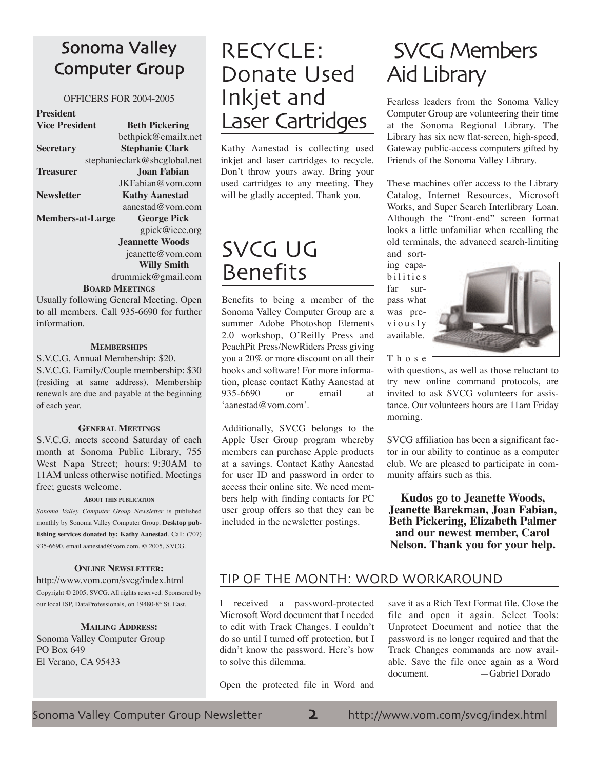### Sonoma Valley Computer Group

#### OFFICERS FOR 2004-2005

| <b>President</b>             |                        |
|------------------------------|------------------------|
| <b>Vice President</b>        | <b>Beth Pickering</b>  |
|                              | bethpick@emailx.net    |
| <b>Secretary</b>             | <b>Stephanie Clark</b> |
| stephanieclark@sbcglobal.net |                        |
| 'I`reasurer                  | Joan Fabian            |
|                              | JKFabian@vom.com       |
| <b>Newsletter</b>            | <b>Kathy Aanestad</b>  |
|                              | aanestad@vom.com       |
| <b>Members-at-Large</b>      | <b>George Pick</b>     |
|                              | gpick@ieee.org         |
| <b>Jeannette Woods</b>       |                        |
| jeanette@vom.com             |                        |
| <b>Willy Smith</b>           |                        |
| drummick@gmail.com           |                        |
| <b>BOARD MEETINGS</b>        |                        |

Usually following General Meeting. Open to all members. Call 935-6690 for further information.

#### **MEMBERSHIPS**

S.V.C.G. Annual Membership: \$20. S.V.C.G. Family/Couple membership: \$30 (residing at same address). Membership renewals are due and payable at the beginning of each year.

#### **GENERAL MEETINGS**

S.V.C.G. meets second Saturday of each month at Sonoma Public Library, 755 West Napa Street; hours: 9:30AM to 11AM unless otherwise notified. Meetings free; guests welcome.

#### **ABOUT THIS PUBLICATION**

*Sonoma Valley Computer Group Newsletter* is published monthly by Sonoma Valley Computer Group. **Desktop publishing services donated by: Kathy Aanestad**. Call: (707) 935-6690, email aanestad@vom.com. © 2005, SVCG.

#### **ONLINE NEWSLETTER:**

http://www.vom.com/svcg/index.html Copyright © 2005, SVCG. All rights reserved. Sponsored by our local ISP, DataProfessionals, on 19480-8<sup>th</sup> St. East.

#### **MAILING ADDRESS:**

Sonoma Valley Computer Group PO Box 649 El Verano, CA 95433

### RECYCLE: Donate Used Inkjet and Laser Cartridges

Kathy Aanestad is collecting used inkjet and laser cartridges to recycle. Don't throw yours away. Bring your used cartridges to any meeting. They will be gladly accepted. Thank you.

### SVCG UG **Benefits**

Benefits to being a member of the Sonoma Valley Computer Group are a summer Adobe Photoshop Elements 2.0 workshop, O'Reilly Press and PeachPit Press/NewRiders Press giving you a 20% or more discount on all their books and software! For more information, please contact Kathy Aanestad at 935-6690 or email at 'aanestad@vom.com'.

Additionally, SVCG belongs to the Apple User Group program whereby members can purchase Apple products at a savings. Contact Kathy Aanestad for user ID and password in order to access their online site. We need members help with finding contacts for PC user group offers so that they can be included in the newsletter postings.

### SVCG Members Aid Library

Fearless leaders from the Sonoma Valley Computer Group are volunteering their time at the Sonoma Regional Library. The Library has six new flat-screen, high-speed, Gateway public-access computers gifted by Friends of the Sonoma Valley Library.

These machines offer access to the Library Catalog, Internet Resources, Microsoft Works, and Super Search Interlibrary Loan. Although the "front-end" screen format looks a little unfamiliar when recalling the old terminals, the advanced search-limiting and sort-

ing capabilities far surpass what was previously available.



Those

with questions, as well as those reluctant to try new online command protocols, are invited to ask SVCG volunteers for assistance. Our volunteers hours are 11am Friday morning.

SVCG affiliation has been a significant factor in our ability to continue as a computer club. We are pleased to participate in community affairs such as this.

**Kudos go to Jeanette Woods, Jeanette Barekman, Joan Fabian, Beth Pickering, Elizabeth Palmer and our newest member, Carol Nelson. Thank you for your help.**

#### TIP OF THE MONTH: WORD WORKAROUND

I received a password-protected Microsoft Word document that I needed to edit with Track Changes. I couldn't do so until I turned off protection, but I didn't know the password. Here's how to solve this dilemma.

Open the protected file in Word and

save it as a Rich Text Format file. Close the file and open it again. Select Tools: Unprotect Document and notice that the password is no longer required and that the Track Changes commands are now available. Save the file once again as a Word document. —Gabriel Dorado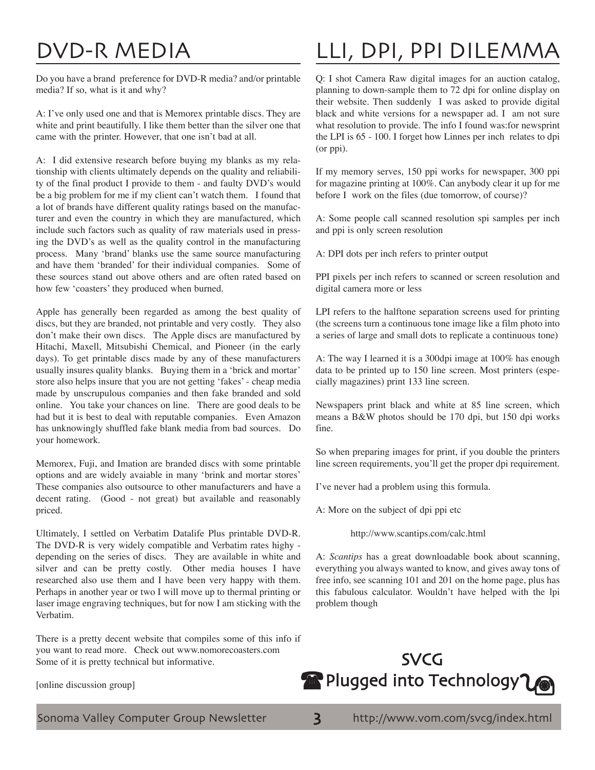## DVD-R MEDIA

## LLI, DPI, PPI DILEMMA

Do you have a brand preference for DVD-R media? and/or printable media? If so, what is it and why?

A: I've only used one and that is Memorex printable discs. They are white and print beautifully. I like them better than the silver one that came with the printer. However, that one isn't bad at all.

A: I did extensive research before buying my blanks as my relationship with clients ultimately depends on the quality and reliability of the final product I provide to them - and faulty DVD's would be a big problem for me if my client can't watch them. I found that a lot of brands have different quality ratings based on the manufacturer and even the country in which they are manufactured, which include such factors such as quality of raw materials used in pressing the DVD's as well as the quality control in the manufacturing process. Many 'brand' blanks use the same source manufacturing and have them 'branded' for their individual companies. Some of these sources stand out above others and are often rated based on how few 'coasters' they produced when burned.

Apple has generally been regarded as among the best quality of discs, but they are branded, not printable and very costly. They also don't make their own discs. The Apple discs are manufactured by Hitachi, Maxell, Mitsubishi Chemical, and Pioneer (in the early days). To get printable discs made by any of these manufacturers usually insures quality blanks. Buying them in a 'brick and mortar' store also helps insure that you are not getting 'fakes' - cheap media made by unscrupulous companies and then fake branded and sold online. You take your chances on line. There are good deals to be had but it is best to deal with reputable companies. Even Amazon has unknowingly shuffled fake blank media from bad sources. Do your homework.

Memorex, Fuji, and Imation are branded discs with some printable options and are widely avaiable in many 'brink and mortar stores' These companies also outsource to other manufacturers and have a decent rating. (Good - not great) but available and reasonably priced.

Ultimately, I settled on Verbatim Datalife Plus printable DVD-R. The DVD-R is very widely compatible and Verbatim rates highy depending on the series of discs. They are available in white and silver and can be pretty costly. Other media houses I have researched also use them and I have been very happy with them. Perhaps in another year or two I will move up to thermal printing or laser image engraving techniques, but for now I am sticking with the Verbatim.

There is a pretty decent website that compiles some of this info if you want to read more. Check out www.nomorecoasters.com Some of it is pretty technical but informative.

[online discussion group]

Sonoma Valley Computer Group Newsletter 3 http://www.vom.com/svcg/index.html

Q: I shot Camera Raw digital images for an auction catalog, planning to down-sample them to 72 dpi for online display on their website. Then suddenly I was asked to provide digital black and white versions for a newspaper ad. I am not sure what resolution to provide. The info I found was:for newsprint the LPI is 65 - 100. I forget how Linnes per inch relates to dpi (or ppi).

If my memory serves, 150 ppi works for newspaper, 300 ppi for magazine printing at 100%. Can anybody clear it up for me before I work on the files (due tomorrow, of course)?

A: Some people call scanned resolution spi samples per inch and ppi is only screen resolution

A: DPI dots per inch refers to printer output

PPI pixels per inch refers to scanned or screen resolution and digital camera more or less

LPI refers to the halftone separation screens used for printing (the screens turn a continuous tone image like a film photo into a series of large and small dots to replicate a continuous tone)

A: The way I learned it is a 300dpi image at 100% has enough data to be printed up to 150 line screen. Most printers (especially magazines) print 133 line screen.

Newspapers print black and white at 85 line screen, which means a B&W photos should be 170 dpi, but 150 dpi works fine.

So when preparing images for print, if you double the printers line screen requirements, you'll get the proper dpi requirement.

I've never had a problem using this formula.

A: More on the subject of dpi ppi etc

http://www.scantips.com/calc.html

A: *Scantips* has a great downloadable book about scanning, everything you always wanted to know, and gives away tons of free info, see scanning 101 and 201 on the home page, plus has this fabulous calculator. Wouldn't have helped with the lpi problem though

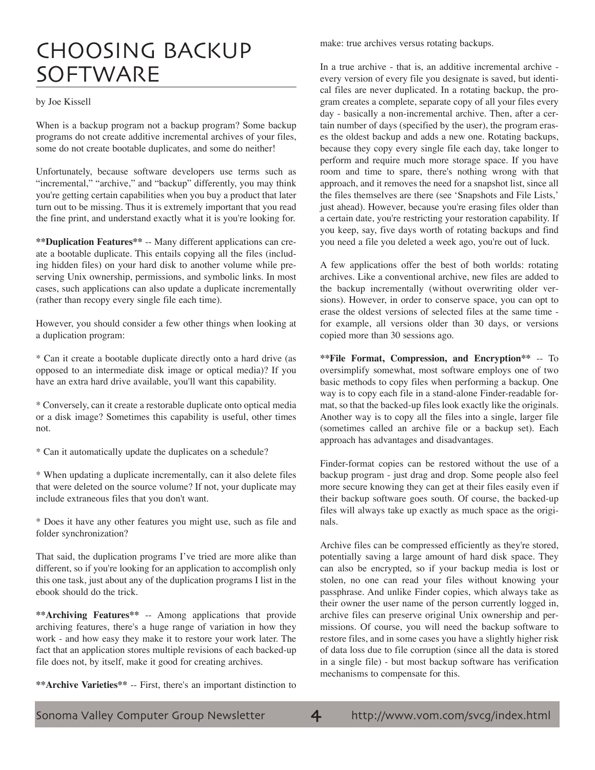### CHOOSING BACKUP SOFTWARE

#### by Joe Kissell

When is a backup program not a backup program? Some backup programs do not create additive incremental archives of your files, some do not create bootable duplicates, and some do neither!

Unfortunately, because software developers use terms such as "incremental," "archive," and "backup" differently, you may think you're getting certain capabilities when you buy a product that later turn out to be missing. Thus it is extremely important that you read the fine print, and understand exactly what it is you're looking for.

**\*\*Duplication Features\*\*** -- Many different applications can create a bootable duplicate. This entails copying all the files (including hidden files) on your hard disk to another volume while preserving Unix ownership, permissions, and symbolic links. In most cases, such applications can also update a duplicate incrementally (rather than recopy every single file each time).

However, you should consider a few other things when looking at a duplication program:

\* Can it create a bootable duplicate directly onto a hard drive (as opposed to an intermediate disk image or optical media)? If you have an extra hard drive available, you'll want this capability.

\* Conversely, can it create a restorable duplicate onto optical media or a disk image? Sometimes this capability is useful, other times not.

\* Can it automatically update the duplicates on a schedule?

\* When updating a duplicate incrementally, can it also delete files that were deleted on the source volume? If not, your duplicate may include extraneous files that you don't want.

\* Does it have any other features you might use, such as file and folder synchronization?

That said, the duplication programs I've tried are more alike than different, so if you're looking for an application to accomplish only this one task, just about any of the duplication programs I list in the ebook should do the trick.

**\*\*Archiving Features\*\*** -- Among applications that provide archiving features, there's a huge range of variation in how they work - and how easy they make it to restore your work later. The fact that an application stores multiple revisions of each backed-up file does not, by itself, make it good for creating archives.

**\*\*Archive Varieties\*\*** -- First, there's an important distinction to

make: true archives versus rotating backups.

In a true archive - that is, an additive incremental archive every version of every file you designate is saved, but identical files are never duplicated. In a rotating backup, the program creates a complete, separate copy of all your files every day - basically a non-incremental archive. Then, after a certain number of days (specified by the user), the program erases the oldest backup and adds a new one. Rotating backups, because they copy every single file each day, take longer to perform and require much more storage space. If you have room and time to spare, there's nothing wrong with that approach, and it removes the need for a snapshot list, since all the files themselves are there (see 'Snapshots and File Lists,' just ahead). However, because you're erasing files older than a certain date, you're restricting your restoration capability. If you keep, say, five days worth of rotating backups and find you need a file you deleted a week ago, you're out of luck.

A few applications offer the best of both worlds: rotating archives. Like a conventional archive, new files are added to the backup incrementally (without overwriting older versions). However, in order to conserve space, you can opt to erase the oldest versions of selected files at the same time for example, all versions older than 30 days, or versions copied more than 30 sessions ago.

**\*\*File Format, Compression, and Encryption\*\*** -- To oversimplify somewhat, most software employs one of two basic methods to copy files when performing a backup. One way is to copy each file in a stand-alone Finder-readable format, so that the backed-up files look exactly like the originals. Another way is to copy all the files into a single, larger file (sometimes called an archive file or a backup set). Each approach has advantages and disadvantages.

Finder-format copies can be restored without the use of a backup program - just drag and drop. Some people also feel more secure knowing they can get at their files easily even if their backup software goes south. Of course, the backed-up files will always take up exactly as much space as the originals.

Archive files can be compressed efficiently as they're stored, potentially saving a large amount of hard disk space. They can also be encrypted, so if your backup media is lost or stolen, no one can read your files without knowing your passphrase. And unlike Finder copies, which always take as their owner the user name of the person currently logged in, archive files can preserve original Unix ownership and permissions. Of course, you will need the backup software to restore files, and in some cases you have a slightly higher risk of data loss due to file corruption (since all the data is stored in a single file) - but most backup software has verification mechanisms to compensate for this.

Sonoma Valley Computer Group Newsletter 4 http://www.vom.com/svcg/index.html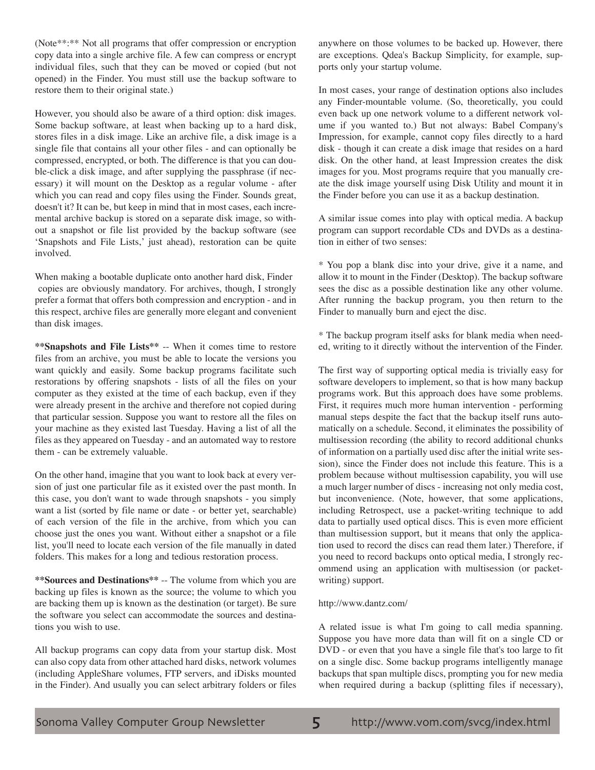(Note\*\*:\*\* Not all programs that offer compression or encryption copy data into a single archive file. A few can compress or encrypt individual files, such that they can be moved or copied (but not opened) in the Finder. You must still use the backup software to restore them to their original state.)

However, you should also be aware of a third option: disk images. Some backup software, at least when backing up to a hard disk, stores files in a disk image. Like an archive file, a disk image is a single file that contains all your other files - and can optionally be compressed, encrypted, or both. The difference is that you can double-click a disk image, and after supplying the passphrase (if necessary) it will mount on the Desktop as a regular volume - after which you can read and copy files using the Finder. Sounds great, doesn't it? It can be, but keep in mind that in most cases, each incremental archive backup is stored on a separate disk image, so without a snapshot or file list provided by the backup software (see 'Snapshots and File Lists,' just ahead), restoration can be quite involved.

When making a bootable duplicate onto another hard disk, Finder copies are obviously mandatory. For archives, though, I strongly prefer a format that offers both compression and encryption - and in this respect, archive files are generally more elegant and convenient than disk images.

**\*\*Snapshots and File Lists\*\*** -- When it comes time to restore files from an archive, you must be able to locate the versions you want quickly and easily. Some backup programs facilitate such restorations by offering snapshots - lists of all the files on your computer as they existed at the time of each backup, even if they were already present in the archive and therefore not copied during that particular session. Suppose you want to restore all the files on your machine as they existed last Tuesday. Having a list of all the files as they appeared on Tuesday - and an automated way to restore them - can be extremely valuable.

On the other hand, imagine that you want to look back at every version of just one particular file as it existed over the past month. In this case, you don't want to wade through snapshots - you simply want a list (sorted by file name or date - or better yet, searchable) of each version of the file in the archive, from which you can choose just the ones you want. Without either a snapshot or a file list, you'll need to locate each version of the file manually in dated folders. This makes for a long and tedious restoration process.

**\*\*Sources and Destinations\*\*** -- The volume from which you are backing up files is known as the source; the volume to which you are backing them up is known as the destination (or target). Be sure the software you select can accommodate the sources and destinations you wish to use.

All backup programs can copy data from your startup disk. Most can also copy data from other attached hard disks, network volumes (including AppleShare volumes, FTP servers, and iDisks mounted in the Finder). And usually you can select arbitrary folders or files anywhere on those volumes to be backed up. However, there are exceptions. Qdea's Backup Simplicity, for example, supports only your startup volume.

In most cases, your range of destination options also includes any Finder-mountable volume. (So, theoretically, you could even back up one network volume to a different network volume if you wanted to.) But not always: Babel Company's Impression, for example, cannot copy files directly to a hard disk - though it can create a disk image that resides on a hard disk. On the other hand, at least Impression creates the disk images for you. Most programs require that you manually create the disk image yourself using Disk Utility and mount it in the Finder before you can use it as a backup destination.

A similar issue comes into play with optical media. A backup program can support recordable CDs and DVDs as a destination in either of two senses:

\* You pop a blank disc into your drive, give it a name, and allow it to mount in the Finder (Desktop). The backup software sees the disc as a possible destination like any other volume. After running the backup program, you then return to the Finder to manually burn and eject the disc.

\* The backup program itself asks for blank media when needed, writing to it directly without the intervention of the Finder.

The first way of supporting optical media is trivially easy for software developers to implement, so that is how many backup programs work. But this approach does have some problems. First, it requires much more human intervention - performing manual steps despite the fact that the backup itself runs automatically on a schedule. Second, it eliminates the possibility of multisession recording (the ability to record additional chunks of information on a partially used disc after the initial write session), since the Finder does not include this feature. This is a problem because without multisession capability, you will use a much larger number of discs - increasing not only media cost, but inconvenience. (Note, however, that some applications, including Retrospect, use a packet-writing technique to add data to partially used optical discs. This is even more efficient than multisession support, but it means that only the application used to record the discs can read them later.) Therefore, if you need to record backups onto optical media, I strongly recommend using an application with multisession (or packetwriting) support.

#### http://www.dantz.com/

A related issue is what I'm going to call media spanning. Suppose you have more data than will fit on a single CD or DVD - or even that you have a single file that's too large to fit on a single disc. Some backup programs intelligently manage backups that span multiple discs, prompting you for new media when required during a backup (splitting files if necessary),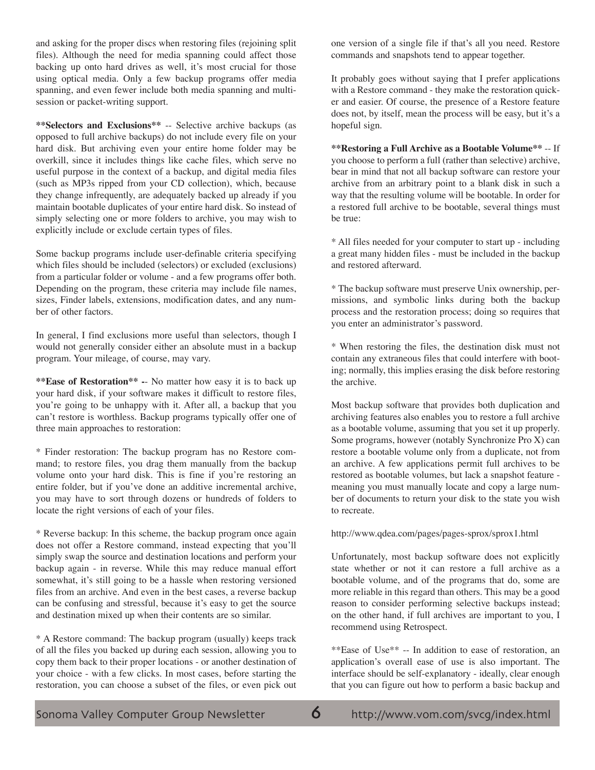and asking for the proper discs when restoring files (rejoining split files). Although the need for media spanning could affect those backing up onto hard drives as well, it's most crucial for those using optical media. Only a few backup programs offer media spanning, and even fewer include both media spanning and multisession or packet-writing support.

**\*\*Selectors and Exclusions\*\*** -- Selective archive backups (as opposed to full archive backups) do not include every file on your hard disk. But archiving even your entire home folder may be overkill, since it includes things like cache files, which serve no useful purpose in the context of a backup, and digital media files (such as MP3s ripped from your CD collection), which, because they change infrequently, are adequately backed up already if you maintain bootable duplicates of your entire hard disk. So instead of simply selecting one or more folders to archive, you may wish to explicitly include or exclude certain types of files.

Some backup programs include user-definable criteria specifying which files should be included (selectors) or excluded (exclusions) from a particular folder or volume - and a few programs offer both. Depending on the program, these criteria may include file names, sizes, Finder labels, extensions, modification dates, and any number of other factors.

In general, I find exclusions more useful than selectors, though I would not generally consider either an absolute must in a backup program. Your mileage, of course, may vary.

**\*\*Ease of Restoration\*\* -**- No matter how easy it is to back up your hard disk, if your software makes it difficult to restore files, you're going to be unhappy with it. After all, a backup that you can't restore is worthless. Backup programs typically offer one of three main approaches to restoration:

\* Finder restoration: The backup program has no Restore command; to restore files, you drag them manually from the backup volume onto your hard disk. This is fine if you're restoring an entire folder, but if you've done an additive incremental archive, you may have to sort through dozens or hundreds of folders to locate the right versions of each of your files.

\* Reverse backup: In this scheme, the backup program once again does not offer a Restore command, instead expecting that you'll simply swap the source and destination locations and perform your backup again - in reverse. While this may reduce manual effort somewhat, it's still going to be a hassle when restoring versioned files from an archive. And even in the best cases, a reverse backup can be confusing and stressful, because it's easy to get the source and destination mixed up when their contents are so similar.

\* A Restore command: The backup program (usually) keeps track of all the files you backed up during each session, allowing you to copy them back to their proper locations - or another destination of your choice - with a few clicks. In most cases, before starting the restoration, you can choose a subset of the files, or even pick out one version of a single file if that's all you need. Restore commands and snapshots tend to appear together.

It probably goes without saying that I prefer applications with a Restore command - they make the restoration quicker and easier. Of course, the presence of a Restore feature does not, by itself, mean the process will be easy, but it's a hopeful sign.

**\*\*Restoring a Full Archive as a Bootable Volume\*\*** -- If you choose to perform a full (rather than selective) archive, bear in mind that not all backup software can restore your archive from an arbitrary point to a blank disk in such a way that the resulting volume will be bootable. In order for a restored full archive to be bootable, several things must be true:

\* All files needed for your computer to start up - including a great many hidden files - must be included in the backup and restored afterward.

\* The backup software must preserve Unix ownership, permissions, and symbolic links during both the backup process and the restoration process; doing so requires that you enter an administrator's password.

\* When restoring the files, the destination disk must not contain any extraneous files that could interfere with booting; normally, this implies erasing the disk before restoring the archive.

Most backup software that provides both duplication and archiving features also enables you to restore a full archive as a bootable volume, assuming that you set it up properly. Some programs, however (notably Synchronize Pro X) can restore a bootable volume only from a duplicate, not from an archive. A few applications permit full archives to be restored as bootable volumes, but lack a snapshot feature meaning you must manually locate and copy a large number of documents to return your disk to the state you wish to recreate.

http://www.qdea.com/pages/pages-sprox/sprox1.html

Unfortunately, most backup software does not explicitly state whether or not it can restore a full archive as a bootable volume, and of the programs that do, some are more reliable in this regard than others. This may be a good reason to consider performing selective backups instead; on the other hand, if full archives are important to you, I recommend using Retrospect.

\*\*Ease of Use\*\* -- In addition to ease of restoration, an application's overall ease of use is also important. The interface should be self-explanatory - ideally, clear enough that you can figure out how to perform a basic backup and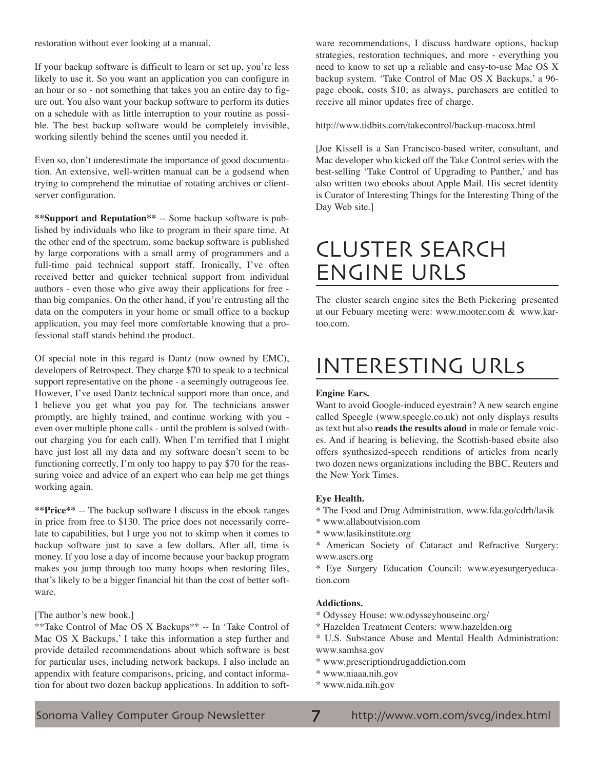restoration without ever looking at a manual.

If your backup software is difficult to learn or set up, you're less likely to use it. So you want an application you can configure in an hour or so - not something that takes you an entire day to figure out. You also want your backup software to perform its duties on a schedule with as little interruption to your routine as possible. The best backup software would be completely invisible, working silently behind the scenes until you needed it.

Even so, don't underestimate the importance of good documentation. An extensive, well-written manual can be a godsend when trying to comprehend the minutiae of rotating archives or clientserver configuration.

**\*\*Support and Reputation\*\*** -- Some backup software is published by individuals who like to program in their spare time. At the other end of the spectrum, some backup software is published by large corporations with a small army of programmers and a full-time paid technical support staff. Ironically, I've often received better and quicker technical support from individual authors - even those who give away their applications for free than big companies. On the other hand, if you're entrusting all the data on the computers in your home or small office to a backup application, you may feel more comfortable knowing that a professional staff stands behind the product.

Of special note in this regard is Dantz (now owned by EMC), developers of Retrospect. They charge \$70 to speak to a technical support representative on the phone - a seemingly outrageous fee. However, I've used Dantz technical support more than once, and I believe you get what you pay for. The technicians answer promptly, are highly trained, and continue working with you even over multiple phone calls - until the problem is solved (without charging you for each call). When I'm terrified that I might have just lost all my data and my software doesn't seem to be functioning correctly, I'm only too happy to pay \$70 for the reassuring voice and advice of an expert who can help me get things working again.

**\*\*Price\*\*** -- The backup software I discuss in the ebook ranges in price from free to \$130. The price does not necessarily correlate to capabilities, but I urge you not to skimp when it comes to backup software just to save a few dollars. After all, time is money. If you lose a day of income because your backup program makes you jump through too many hoops when restoring files, that's likely to be a bigger financial hit than the cost of better software.

[The author's new book.]

\*\*Take Control of Mac OS X Backups\*\* -- In 'Take Control of Mac OS X Backups,' I take this information a step further and provide detailed recommendations about which software is best for particular uses, including network backups. I also include an appendix with feature comparisons, pricing, and contact information for about two dozen backup applications. In addition to software recommendations, I discuss hardware options, backup strategies, restoration techniques, and more - everything you need to know to set up a reliable and easy-to-use Mac OS X backup system. 'Take Control of Mac OS X Backups,' a 96 page ebook, costs \$10; as always, purchasers are entitled to receive all minor updates free of charge.

http://www.tidbits.com/takecontrol/backup-macosx.html

[Joe Kissell is a San Francisco-based writer, consultant, and Mac developer who kicked off the Take Control series with the best-selling 'Take Control of Upgrading to Panther,' and has also written two ebooks about Apple Mail. His secret identity is Curator of Interesting Things for the Interesting Thing of the Day Web site.]

## CLUSTER SEARCH ENGINE URLS

The cluster search engine sites the Beth Pickering presented at our Febuary meeting were: www.mooter.com & www.kartoo.com.

# INTERESTING URLs

#### **Engine Ears.**

Want to avoid Google-induced eyestrain? A new search engine called Speegle (www.speegle.co.uk) not only displays results as text but also **reads the results aloud** in male or female voices. And if hearing is believing, the Scottish-based ebsite also offers synthesized-speech renditions of articles from nearly two dozen news organizations including the BBC, Reuters and the New York Times.

#### **Eye Health.**

- \* The Food and Drug Administration, www.fda.go/cdrh/lasik
- \* www.allaboutvision.com
- \* www.lasikinstitute.org

\* American Society of Cataract and Refractive Surgery: www.ascrs.org

\* Eye Surgery Education Council: www.eyesurgeryeducation.com

#### **Addictions.**

- \* Odyssey House: ww.odysseyhouseinc.org/
- \* Hazelden Treatment Centers: www.hazelden.org
- \* U.S. Substance Abuse and Mental Health Administration: www.samhsa.gov
- \* www.prescriptiondrugaddiction.com
- \* www.niaaa.nih.gov
- \* www.nida.nih.gov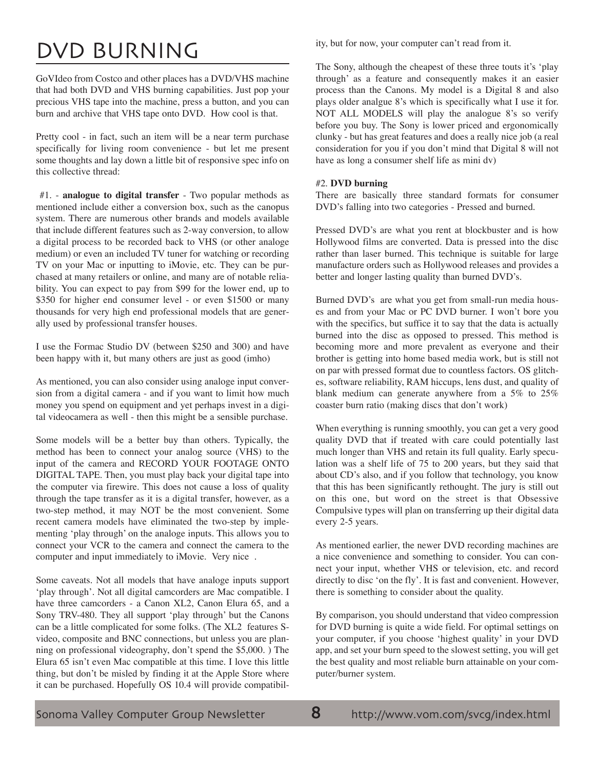# DVD BURNING

GoVIdeo from Costco and other places has a DVD/VHS machine that had both DVD and VHS burning capabilities. Just pop your precious VHS tape into the machine, press a button, and you can burn and archive that VHS tape onto DVD. How cool is that.

Pretty cool - in fact, such an item will be a near term purchase specifically for living room convenience - but let me present some thoughts and lay down a little bit of responsive spec info on this collective thread:

#1. - **analogue to digital transfer** - Two popular methods as mentioned include either a conversion box, such as the canopus system. There are numerous other brands and models available that include different features such as 2-way conversion, to allow a digital process to be recorded back to VHS (or other analoge medium) or even an included TV tuner for watching or recording TV on your Mac or inputting to iMovie, etc. They can be purchased at many retailers or online, and many are of notable reliability. You can expect to pay from \$99 for the lower end, up to \$350 for higher end consumer level - or even \$1500 or many thousands for very high end professional models that are generally used by professional transfer houses.

I use the Formac Studio DV (between \$250 and 300) and have been happy with it, but many others are just as good (imho)

As mentioned, you can also consider using analoge input conversion from a digital camera - and if you want to limit how much money you spend on equipment and yet perhaps invest in a digital videocamera as well - then this might be a sensible purchase.

Some models will be a better buy than others. Typically, the method has been to connect your analog source (VHS) to the input of the camera and RECORD YOUR FOOTAGE ONTO DIGITAL TAPE. Then, you must play back your digital tape into the computer via firewire. This does not cause a loss of quality through the tape transfer as it is a digital transfer, however, as a two-step method, it may NOT be the most convenient. Some recent camera models have eliminated the two-step by implementing 'play through' on the analoge inputs. This allows you to connect your VCR to the camera and connect the camera to the computer and input immediately to iMovie. Very nice .

Some caveats. Not all models that have analoge inputs support 'play through'. Not all digital camcorders are Mac compatible. I have three camcorders - a Canon XL2, Canon Elura 65, and a Sony TRV-480. They all support 'play through' but the Canons can be a little complicated for some folks. (The XL2 features Svideo, composite and BNC connections, but unless you are planning on professional videography, don't spend the \$5,000. ) The Elura 65 isn't even Mac compatible at this time. I love this little thing, but don't be misled by finding it at the Apple Store where it can be purchased. Hopefully OS 10.4 will provide compatibility, but for now, your computer can't read from it.

The Sony, although the cheapest of these three touts it's 'play through' as a feature and consequently makes it an easier process than the Canons. My model is a Digital 8 and also plays older analgue 8's which is specifically what I use it for. NOT ALL MODELS will play the analogue 8's so verify before you buy. The Sony is lower priced and ergonomically clunky - but has great features and does a really nice job (a real consideration for you if you don't mind that Digital 8 will not have as long a consumer shelf life as mini dv)

#### #2. **DVD burning**

There are basically three standard formats for consumer DVD's falling into two categories - Pressed and burned.

Pressed DVD's are what you rent at blockbuster and is how Hollywood films are converted. Data is pressed into the disc rather than laser burned. This technique is suitable for large manufacture orders such as Hollywood releases and provides a better and longer lasting quality than burned DVD's.

Burned DVD's are what you get from small-run media houses and from your Mac or PC DVD burner. I won't bore you with the specifics, but suffice it to say that the data is actually burned into the disc as opposed to pressed. This method is becoming more and more prevalent as everyone and their brother is getting into home based media work, but is still not on par with pressed format due to countless factors. OS glitches, software reliability, RAM hiccups, lens dust, and quality of blank medium can generate anywhere from a 5% to 25% coaster burn ratio (making discs that don't work)

When everything is running smoothly, you can get a very good quality DVD that if treated with care could potentially last much longer than VHS and retain its full quality. Early speculation was a shelf life of 75 to 200 years, but they said that about CD's also, and if you follow that technology, you know that this has been significantly rethought. The jury is still out on this one, but word on the street is that Obsessive Compulsive types will plan on transferring up their digital data every 2-5 years.

As mentioned earlier, the newer DVD recording machines are a nice convenience and something to consider. You can connect your input, whether VHS or television, etc. and record directly to disc 'on the fly'. It is fast and convenient. However, there is something to consider about the quality.

By comparison, you should understand that video compression for DVD burning is quite a wide field. For optimal settings on your computer, if you choose 'highest quality' in your DVD app, and set your burn speed to the slowest setting, you will get the best quality and most reliable burn attainable on your computer/burner system.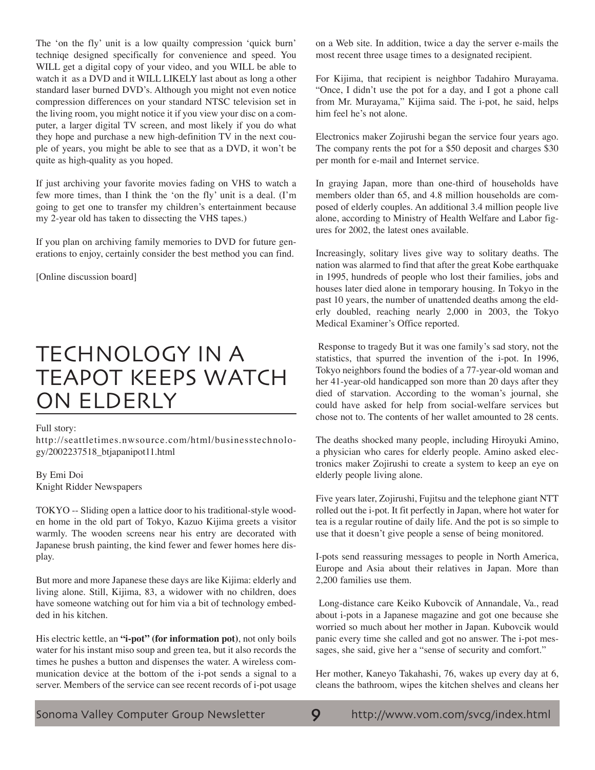The 'on the fly' unit is a low quailty compression 'quick burn' techniqe designed specifically for convenience and speed. You WILL get a digital copy of your video, and you WILL be able to watch it as a DVD and it WILL LIKELY last about as long a other standard laser burned DVD's. Although you might not even notice compression differences on your standard NTSC television set in the living room, you might notice it if you view your disc on a computer, a larger digital TV screen, and most likely if you do what they hope and purchase a new high-definition TV in the next couple of years, you might be able to see that as a DVD, it won't be quite as high-quality as you hoped.

If just archiving your favorite movies fading on VHS to watch a few more times, than I think the 'on the fly' unit is a deal. (I'm going to get one to transfer my children's entertainment because my 2-year old has taken to dissecting the VHS tapes.)

If you plan on archiving family memories to DVD for future generations to enjoy, certainly consider the best method you can find.

[Online discussion board]

## TECHNOLOGY IN A TEAPOT KEEPS WATCH ON ELDERLY

#### Full story:

http://seattletimes.nwsource.com/html/businesstechnology/2002237518\_btjapanipot11.html

By Emi Doi Knight Ridder Newspapers

TOKYO -- Sliding open a lattice door to his traditional-style wooden home in the old part of Tokyo, Kazuo Kijima greets a visitor warmly. The wooden screens near his entry are decorated with Japanese brush painting, the kind fewer and fewer homes here display.

But more and more Japanese these days are like Kijima: elderly and living alone. Still, Kijima, 83, a widower with no children, does have someone watching out for him via a bit of technology embedded in his kitchen.

His electric kettle, an **"i-pot" (for information pot)**, not only boils water for his instant miso soup and green tea, but it also records the times he pushes a button and dispenses the water. A wireless communication device at the bottom of the i-pot sends a signal to a server. Members of the service can see recent records of i-pot usage on a Web site. In addition, twice a day the server e-mails the most recent three usage times to a designated recipient.

For Kijima, that recipient is neighbor Tadahiro Murayama. "Once, I didn't use the pot for a day, and I got a phone call from Mr. Murayama," Kijima said. The i-pot, he said, helps him feel he's not alone.

Electronics maker Zojirushi began the service four years ago. The company rents the pot for a \$50 deposit and charges \$30 per month for e-mail and Internet service.

In graying Japan, more than one-third of households have members older than 65, and 4.8 million households are composed of elderly couples. An additional 3.4 million people live alone, according to Ministry of Health Welfare and Labor figures for 2002, the latest ones available.

Increasingly, solitary lives give way to solitary deaths. The nation was alarmed to find that after the great Kobe earthquake in 1995, hundreds of people who lost their families, jobs and houses later died alone in temporary housing. In Tokyo in the past 10 years, the number of unattended deaths among the elderly doubled, reaching nearly 2,000 in 2003, the Tokyo Medical Examiner's Office reported.

Response to tragedy But it was one family's sad story, not the statistics, that spurred the invention of the i-pot. In 1996, Tokyo neighbors found the bodies of a 77-year-old woman and her 41-year-old handicapped son more than 20 days after they died of starvation. According to the woman's journal, she could have asked for help from social-welfare services but chose not to. The contents of her wallet amounted to 28 cents.

The deaths shocked many people, including Hiroyuki Amino, a physician who cares for elderly people. Amino asked electronics maker Zojirushi to create a system to keep an eye on elderly people living alone.

Five years later, Zojirushi, Fujitsu and the telephone giant NTT rolled out the i-pot. It fit perfectly in Japan, where hot water for tea is a regular routine of daily life. And the pot is so simple to use that it doesn't give people a sense of being monitored.

I-pots send reassuring messages to people in North America, Europe and Asia about their relatives in Japan. More than 2,200 families use them.

Long-distance care Keiko Kubovcik of Annandale, Va., read about i-pots in a Japanese magazine and got one because she worried so much about her mother in Japan. Kubovcik would panic every time she called and got no answer. The i-pot messages, she said, give her a "sense of security and comfort."

Her mother, Kaneyo Takahashi, 76, wakes up every day at 6, cleans the bathroom, wipes the kitchen shelves and cleans her

Sonoma Valley Computer Group Newsletter **9** http://www.vom.com/svcg/index.html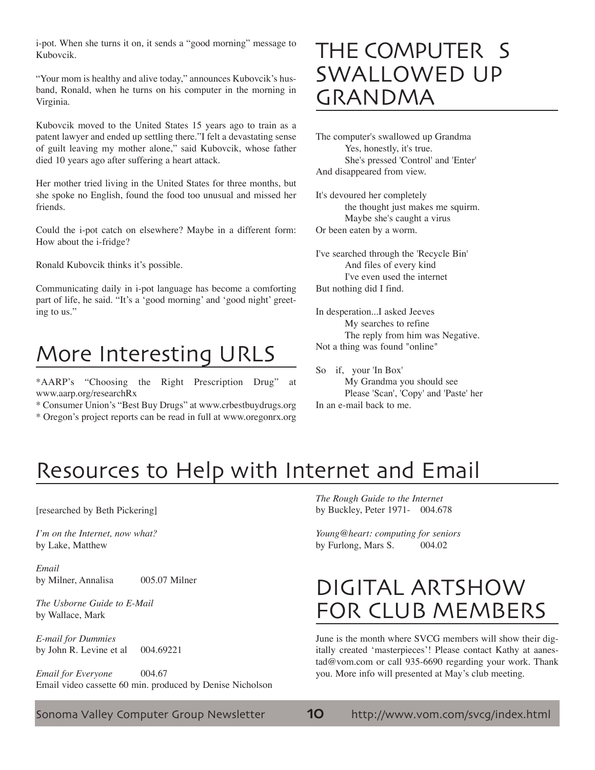i-pot. When she turns it on, it sends a "good morning" message to Kubovcik.

"Your mom is healthy and alive today," announces Kubovcik's husband, Ronald, when he turns on his computer in the morning in Virginia.

Kubovcik moved to the United States 15 years ago to train as a patent lawyer and ended up settling there."I felt a devastating sense of guilt leaving my mother alone," said Kubovcik, whose father died 10 years ago after suffering a heart attack.

Her mother tried living in the United States for three months, but she spoke no English, found the food too unusual and missed her friends.

Could the i-pot catch on elsewhere? Maybe in a different form: How about the i-fridge?

Ronald Kubovcik thinks it's possible.

Communicating daily in i-pot language has become a comforting part of life, he said. "It's a 'good morning' and 'good night' greeting to us."

# More Interesting URLS

\*AARP's "Choosing the Right Prescription Drug" at www.aarp.org/researchRx

\* Consumer Union's "Best Buy Drugs" at www.crbestbuydrugs.org

\* Oregon's project reports can be read in full at www.oregonrx.org

### THE COMPUTER S SWALLOWED UP GRANDMA

The computer's swallowed up Grandma Yes, honestly, it's true. She's pressed 'Control' and 'Enter' And disappeared from view.

It's devoured her completely the thought just makes me squirm. Maybe she's caught a virus Or been eaten by a worm.

I've searched through the 'Recycle Bin' And files of every kind I've even used the internet But nothing did I find.

In desperation...I asked Jeeves My searches to refine The reply from him was Negative. Not a thing was found "online"

So if, your 'In Box' My Grandma you should see Please 'Scan', 'Copy' and 'Paste' her In an e-mail back to me.

## Resources to Help with Internet and Email

[researched by Beth Pickering]

*I'm on the Internet, now what?* by Lake, Matthew

*Email* by Milner, Annalisa 005.07 Milner

*The Usborne Guide to E-Mail* by Wallace, Mark

*E-mail for Dummies* by John R. Levine et al 004.69221

*Email for Everyone* 004.67 Email video cassette 60 min. produced by Denise Nicholson *The Rough Guide to the Internet* by Buckley, Peter 1971- 004.678

*Young@heart: computing for seniors* by Furlong, Mars S. 004.02

## DIGITAL ARTSHOW FOR CLUB MEMBERS

June is the month where SVCG members will show their digitally created 'masterpieces'! Please contact Kathy at aanestad@vom.com or call 935-6690 regarding your work. Thank you. More info will presented at May's club meeting.

Sonoma Valley Computer Group Newsletter 10 http://www.vom.com/svcg/index.html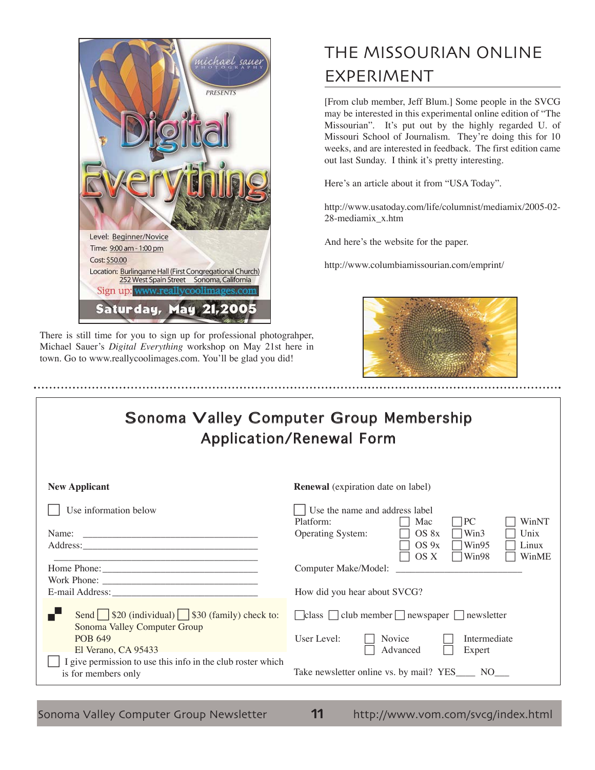

There is still time for you to sign up for professional photograhper, Michael Sauer's *Digital Everything* workshop on May 21st here in town. Go to www.reallycoolimages.com. You'll be glad you did!

### THE MISSOURIAN ONLINE EXPERIMENT

[From club member, Jeff Blum.] Some people in the SVCG may be interested in this experimental online edition of "The Missourian". It's put out by the highly regarded U. of Missouri School of Journalism. They're doing this for 10 weeks, and are interested in feedback. The first edition came out last Sunday. I think it's pretty interesting.

Here's an article about it from "USA Today".

http://www.usatoday.com/life/columnist/mediamix/2005-02- 28-mediamix\_x.htm

And here's the website for the paper.

http://www.columbiamissourian.com/emprint/



### Sonoma Valley Computer Group Membership Application/Renewal Form

| <b>New Applicant</b>                                        | <b>Renewal</b> (expiration date on label)                          |
|-------------------------------------------------------------|--------------------------------------------------------------------|
| Use information below                                       | Use the name and address label                                     |
|                                                             | Platform:<br> PC <br>WinNT<br>Mac                                  |
| Name:                                                       | OS 8x<br>Win3<br>Unix<br><b>Operating System:</b>                  |
|                                                             | OS 9x<br>Win95<br>Linux                                            |
|                                                             | Win98<br>OS X<br>WinME                                             |
|                                                             | Computer Make/Model:                                               |
|                                                             |                                                                    |
| E-mail Address: E-mail Address:                             | How did you hear about SVCG?                                       |
|                                                             |                                                                    |
| Send     \$20 (individual)     \$30 (family) check to:      | $\Box$ class $\Box$ club member $\Box$ newspaper $\Box$ newsletter |
| Sonoma Valley Computer Group                                |                                                                    |
| POB 649                                                     | User Level:<br>Intermediate<br>Novice                              |
| El Verano, CA 95433                                         | Advanced<br>Expert                                                 |
| I give permission to use this info in the club roster which |                                                                    |
| is for members only                                         | Take newsletter online vs. by mail? YES____ NO___                  |

Sonoma Valley Computer Group Newsletter 11 http://www.vom.com/svcg/index.html